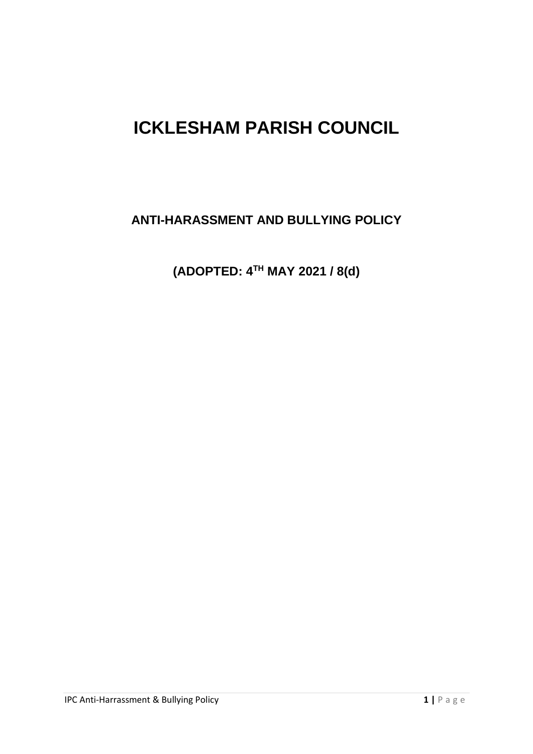# **ICKLESHAM PARISH COUNCIL**

**ANTI-HARASSMENT AND BULLYING POLICY**

**(ADOPTED: 4TH MAY 2021 / 8(d)**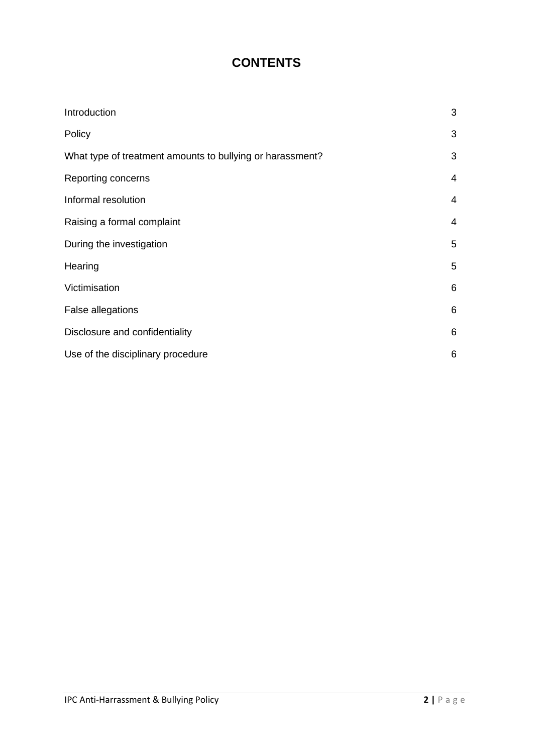# **CONTENTS**

| Introduction                                              | 3              |
|-----------------------------------------------------------|----------------|
| Policy                                                    | 3              |
| What type of treatment amounts to bullying or harassment? | 3              |
| Reporting concerns                                        | $\overline{4}$ |
| Informal resolution                                       | 4              |
| Raising a formal complaint                                | 4              |
| During the investigation                                  | 5              |
| Hearing                                                   | 5              |
| Victimisation                                             | 6              |
| False allegations                                         | 6              |
| Disclosure and confidentiality                            | 6              |
| Use of the disciplinary procedure                         | 6              |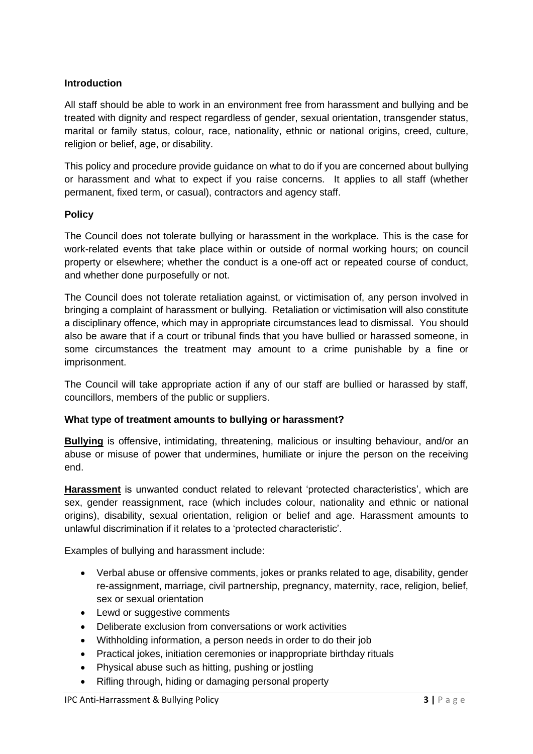#### **Introduction**

All staff should be able to work in an environment free from harassment and bullying and be treated with dignity and respect regardless of gender, sexual orientation, transgender status, marital or family status, colour, race, nationality, ethnic or national origins, creed, culture, religion or belief, age, or disability.

This policy and procedure provide guidance on what to do if you are concerned about bullying or harassment and what to expect if you raise concerns. It applies to all staff (whether permanent, fixed term, or casual), contractors and agency staff.

#### **Policy**

The Council does not tolerate bullying or harassment in the workplace. This is the case for work-related events that take place within or outside of normal working hours; on council property or elsewhere; whether the conduct is a one-off act or repeated course of conduct, and whether done purposefully or not.

The Council does not tolerate retaliation against, or victimisation of, any person involved in bringing a complaint of harassment or bullying. Retaliation or victimisation will also constitute a disciplinary offence, which may in appropriate circumstances lead to dismissal. You should also be aware that if a court or tribunal finds that you have bullied or harassed someone, in some circumstances the treatment may amount to a crime punishable by a fine or imprisonment.

The Council will take appropriate action if any of our staff are bullied or harassed by staff, councillors, members of the public or suppliers.

# **What type of treatment amounts to bullying or harassment?**

**Bullying** is offensive, intimidating, threatening, malicious or insulting behaviour, and/or an abuse or misuse of power that undermines, humiliate or injure the person on the receiving end.

**Harassment** is unwanted conduct related to relevant 'protected characteristics', which are sex, gender reassignment, race (which includes colour, nationality and ethnic or national origins), disability, sexual orientation, religion or belief and age. Harassment amounts to unlawful discrimination if it relates to a 'protected characteristic'.

Examples of bullying and harassment include:

- Verbal abuse or offensive comments, jokes or pranks related to age, disability, gender re-assignment, marriage, civil partnership, pregnancy, maternity, race, religion, belief, sex or sexual orientation
- Lewd or suggestive comments
- Deliberate exclusion from conversations or work activities
- Withholding information, a person needs in order to do their job
- Practical jokes, initiation ceremonies or inappropriate birthday rituals
- Physical abuse such as hitting, pushing or jostling
- Rifling through, hiding or damaging personal property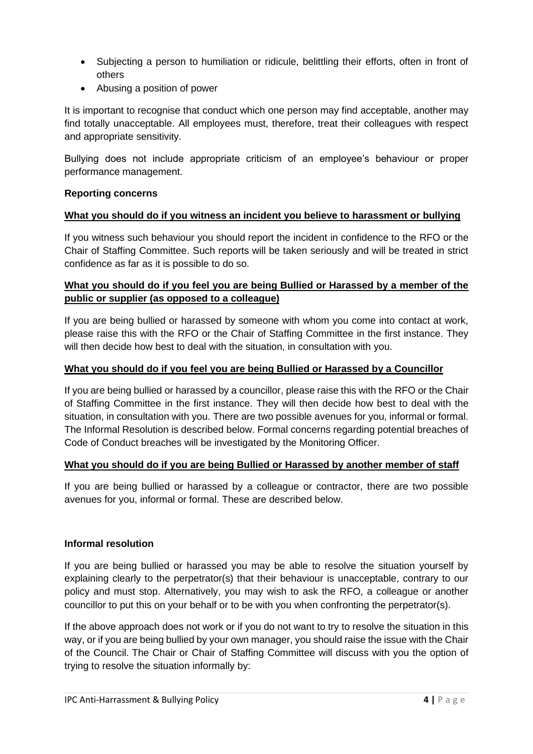- Subjecting a person to humiliation or ridicule, belittling their efforts, often in front of others
- Abusing a position of power

It is important to recognise that conduct which one person may find acceptable, another may find totally unacceptable. All employees must, therefore, treat their colleagues with respect and appropriate sensitivity.

Bullying does not include appropriate criticism of an employee's behaviour or proper performance management.

# **Reporting concerns**

# **What you should do if you witness an incident you believe to harassment or bullying**

If you witness such behaviour you should report the incident in confidence to the RFO or the Chair of Staffing Committee. Such reports will be taken seriously and will be treated in strict confidence as far as it is possible to do so.

# **What you should do if you feel you are being Bullied or Harassed by a member of the public or supplier (as opposed to a colleague)**

If you are being bullied or harassed by someone with whom you come into contact at work, please raise this with the RFO or the Chair of Staffing Committee in the first instance. They will then decide how best to deal with the situation, in consultation with you.

#### **What you should do if you feel you are being Bullied or Harassed by a Councillor**

If you are being bullied or harassed by a councillor, please raise this with the RFO or the Chair of Staffing Committee in the first instance. They will then decide how best to deal with the situation, in consultation with you. There are two possible avenues for you, informal or formal. The Informal Resolution is described below. Formal concerns regarding potential breaches of Code of Conduct breaches will be investigated by the Monitoring Officer.

#### **What you should do if you are being Bullied or Harassed by another member of staff**

If you are being bullied or harassed by a colleague or contractor, there are two possible avenues for you, informal or formal. These are described below.

#### **Informal resolution**

If you are being bullied or harassed you may be able to resolve the situation yourself by explaining clearly to the perpetrator(s) that their behaviour is unacceptable, contrary to our policy and must stop. Alternatively, you may wish to ask the RFO, a colleague or another councillor to put this on your behalf or to be with you when confronting the perpetrator(s).

If the above approach does not work or if you do not want to try to resolve the situation in this way, or if you are being bullied by your own manager, you should raise the issue with the Chair of the Council. The Chair or Chair of Staffing Committee will discuss with you the option of trying to resolve the situation informally by: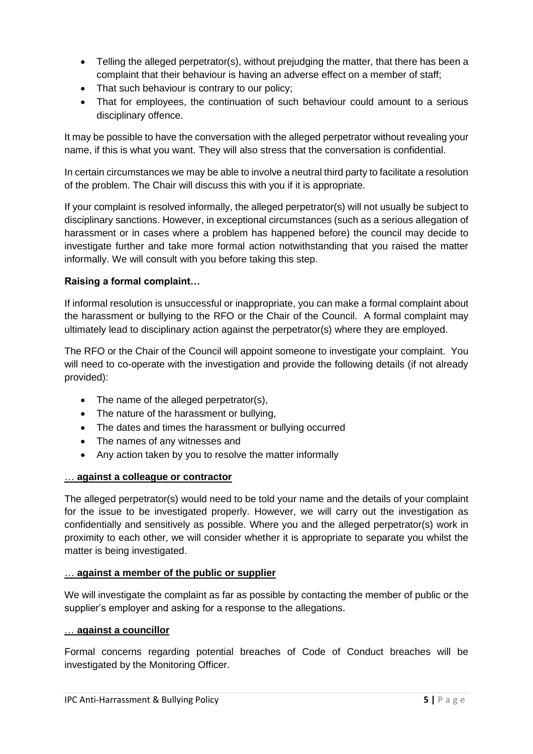- Telling the alleged perpetrator(s), without prejudging the matter, that there has been a complaint that their behaviour is having an adverse effect on a member of staff;
- That such behaviour is contrary to our policy;
- That for employees, the continuation of such behaviour could amount to a serious disciplinary offence.

It may be possible to have the conversation with the alleged perpetrator without revealing your name, if this is what you want. They will also stress that the conversation is confidential.

In certain circumstances we may be able to involve a neutral third party to facilitate a resolution of the problem. The Chair will discuss this with you if it is appropriate.

If your complaint is resolved informally, the alleged perpetrator(s) will not usually be subject to disciplinary sanctions. However, in exceptional circumstances (such as a serious allegation of harassment or in cases where a problem has happened before) the council may decide to investigate further and take more formal action notwithstanding that you raised the matter informally. We will consult with you before taking this step.

# **Raising a formal complaint…**

If informal resolution is unsuccessful or inappropriate, you can make a formal complaint about the harassment or bullying to the RFO or the Chair of the Council. A formal complaint may ultimately lead to disciplinary action against the perpetrator(s) where they are employed.

The RFO or the Chair of the Council will appoint someone to investigate your complaint. You will need to co-operate with the investigation and provide the following details (if not already provided):

- The name of the alleged perpetrator(s),
- The nature of the harassment or bullying,
- The dates and times the harassment or bullying occurred
- The names of any witnesses and
- Any action taken by you to resolve the matter informally

#### … **against a colleague or contractor**

The alleged perpetrator(s) would need to be told your name and the details of your complaint for the issue to be investigated properly. However, we will carry out the investigation as confidentially and sensitively as possible. Where you and the alleged perpetrator(s) work in proximity to each other, we will consider whether it is appropriate to separate you whilst the matter is being investigated.

#### … **against a member of the public or supplier**

We will investigate the complaint as far as possible by contacting the member of public or the supplier's employer and asking for a response to the allegations.

#### … **against a councillor**

Formal concerns regarding potential breaches of Code of Conduct breaches will be investigated by the Monitoring Officer.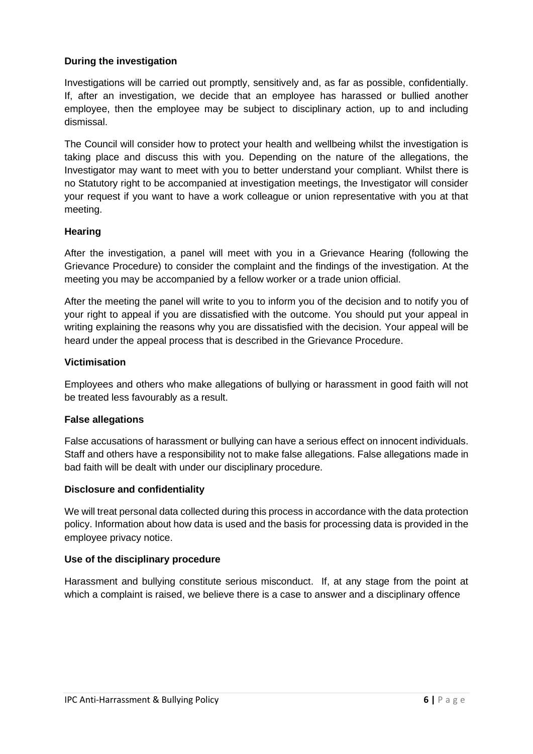# **During the investigation**

Investigations will be carried out promptly, sensitively and, as far as possible, confidentially. If, after an investigation, we decide that an employee has harassed or bullied another employee, then the employee may be subject to disciplinary action, up to and including dismissal.

The Council will consider how to protect your health and wellbeing whilst the investigation is taking place and discuss this with you. Depending on the nature of the allegations, the Investigator may want to meet with you to better understand your compliant. Whilst there is no Statutory right to be accompanied at investigation meetings, the Investigator will consider your request if you want to have a work colleague or union representative with you at that meeting.

#### **Hearing**

After the investigation, a panel will meet with you in a Grievance Hearing (following the Grievance Procedure) to consider the complaint and the findings of the investigation. At the meeting you may be accompanied by a fellow worker or a trade union official.

After the meeting the panel will write to you to inform you of the decision and to notify you of your right to appeal if you are dissatisfied with the outcome. You should put your appeal in writing explaining the reasons why you are dissatisfied with the decision. Your appeal will be heard under the appeal process that is described in the Grievance Procedure.

#### **Victimisation**

Employees and others who make allegations of bullying or harassment in good faith will not be treated less favourably as a result.

#### **False allegations**

False accusations of harassment or bullying can have a serious effect on innocent individuals. Staff and others have a responsibility not to make false allegations. False allegations made in bad faith will be dealt with under our disciplinary procedure.

#### **Disclosure and confidentiality**

We will treat personal data collected during this process in accordance with the data protection policy. Information about how data is used and the basis for processing data is provided in the employee privacy notice.

#### **Use of the disciplinary procedure**

Harassment and bullying constitute serious misconduct. If, at any stage from the point at which a complaint is raised, we believe there is a case to answer and a disciplinary offence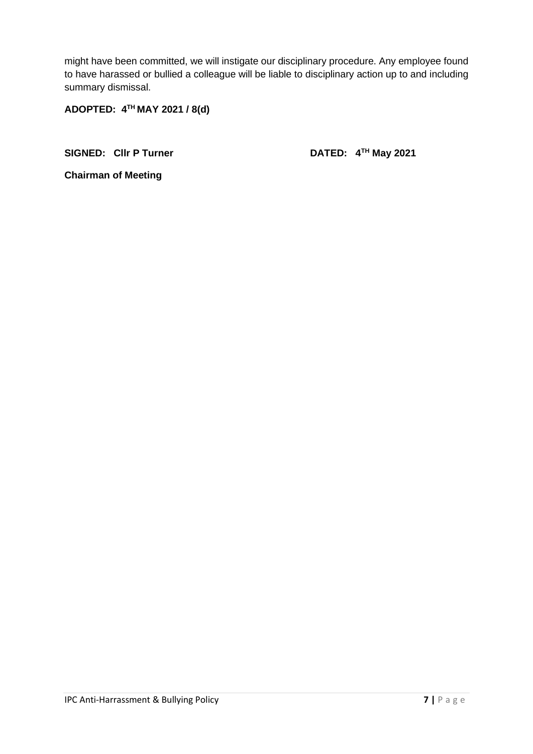might have been committed, we will instigate our disciplinary procedure. Any employee found to have harassed or bullied a colleague will be liable to disciplinary action up to and including summary dismissal.

**ADOPTED: 4TH MAY 2021 / 8(d)**

SIGNED: Cllr P Turner DATED: 4<sup>TH</sup> May 2021

**Chairman of Meeting**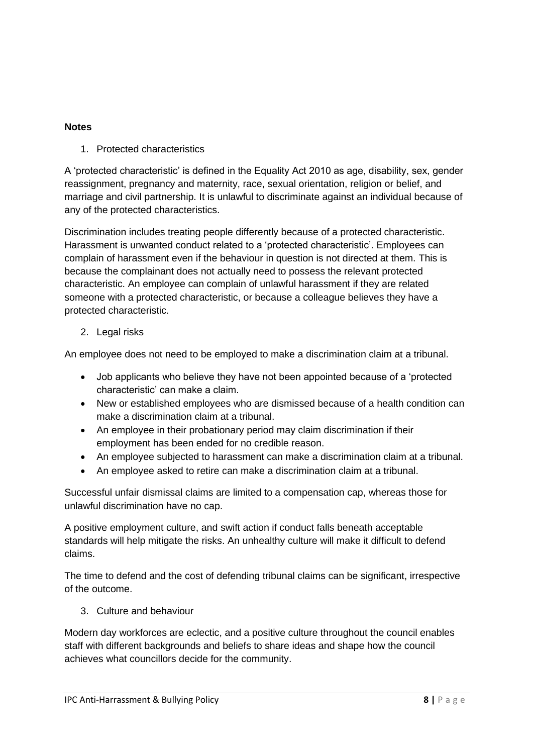# **Notes**

1. Protected characteristics

A 'protected characteristic' is defined in the Equality Act 2010 as age, disability, sex, gender reassignment, pregnancy and maternity, race, sexual orientation, religion or belief, and marriage and civil partnership. It is unlawful to discriminate against an individual because of any of the protected characteristics.

Discrimination includes treating people differently because of a protected characteristic. Harassment is unwanted conduct related to a 'protected characteristic'. Employees can complain of harassment even if the behaviour in question is not directed at them. This is because the complainant does not actually need to possess the relevant protected characteristic. An employee can complain of unlawful harassment if they are related someone with a protected characteristic, or because a colleague believes they have a protected characteristic.

# 2. Legal risks

An employee does not need to be employed to make a discrimination claim at a tribunal.

- Job applicants who believe they have not been appointed because of a 'protected characteristic' can make a claim.
- New or established employees who are dismissed because of a health condition can make a discrimination claim at a tribunal.
- An employee in their probationary period may claim discrimination if their employment has been ended for no credible reason.
- An employee subjected to harassment can make a discrimination claim at a tribunal.
- An employee asked to retire can make a discrimination claim at a tribunal.

Successful unfair dismissal claims are limited to a compensation cap, whereas those for unlawful discrimination have no cap.

A positive employment culture, and swift action if conduct falls beneath acceptable standards will help mitigate the risks. An unhealthy culture will make it difficult to defend claims.

The time to defend and the cost of defending tribunal claims can be significant, irrespective of the outcome.

3. Culture and behaviour

Modern day workforces are eclectic, and a positive culture throughout the council enables staff with different backgrounds and beliefs to share ideas and shape how the council achieves what councillors decide for the community.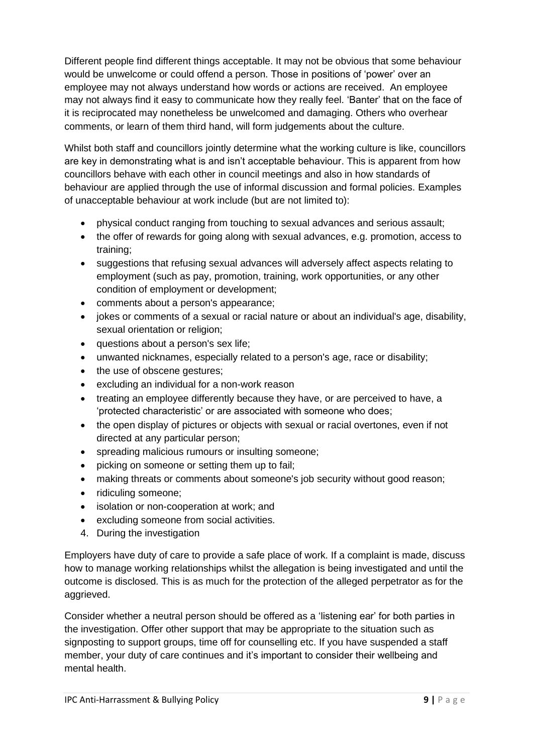Different people find different things acceptable. It may not be obvious that some behaviour would be unwelcome or could offend a person. Those in positions of 'power' over an employee may not always understand how words or actions are received. An employee may not always find it easy to communicate how they really feel. 'Banter' that on the face of it is reciprocated may nonetheless be unwelcomed and damaging. Others who overhear comments, or learn of them third hand, will form judgements about the culture.

Whilst both staff and councillors jointly determine what the working culture is like, councillors are key in demonstrating what is and isn't acceptable behaviour. This is apparent from how councillors behave with each other in council meetings and also in how standards of behaviour are applied through the use of informal discussion and formal policies. Examples of unacceptable behaviour at work include (but are not limited to):

- physical conduct ranging from touching to sexual advances and serious assault;
- the offer of rewards for going along with sexual advances, e.g. promotion, access to training;
- suggestions that refusing sexual advances will adversely affect aspects relating to employment (such as pay, promotion, training, work opportunities, or any other condition of employment or development;
- comments about a person's appearance;
- jokes or comments of a sexual or racial nature or about an individual's age, disability, sexual orientation or religion;
- questions about a person's sex life;
- unwanted nicknames, especially related to a person's age, race or disability;
- the use of obscene gestures:
- excluding an individual for a non-work reason
- treating an employee differently because they have, or are perceived to have, a 'protected characteristic' or are associated with someone who does;
- the open display of pictures or objects with sexual or racial overtones, even if not directed at any particular person;
- spreading malicious rumours or insulting someone;
- picking on someone or setting them up to fail;
- making threats or comments about someone's job security without good reason;
- ridiculing someone;
- isolation or non-cooperation at work; and
- excluding someone from social activities.
- 4. During the investigation

Employers have duty of care to provide a safe place of work. If a complaint is made, discuss how to manage working relationships whilst the allegation is being investigated and until the outcome is disclosed. This is as much for the protection of the alleged perpetrator as for the aggrieved.

Consider whether a neutral person should be offered as a 'listening ear' for both parties in the investigation. Offer other support that may be appropriate to the situation such as signposting to support groups, time off for counselling etc. If you have suspended a staff member, your duty of care continues and it's important to consider their wellbeing and mental health.